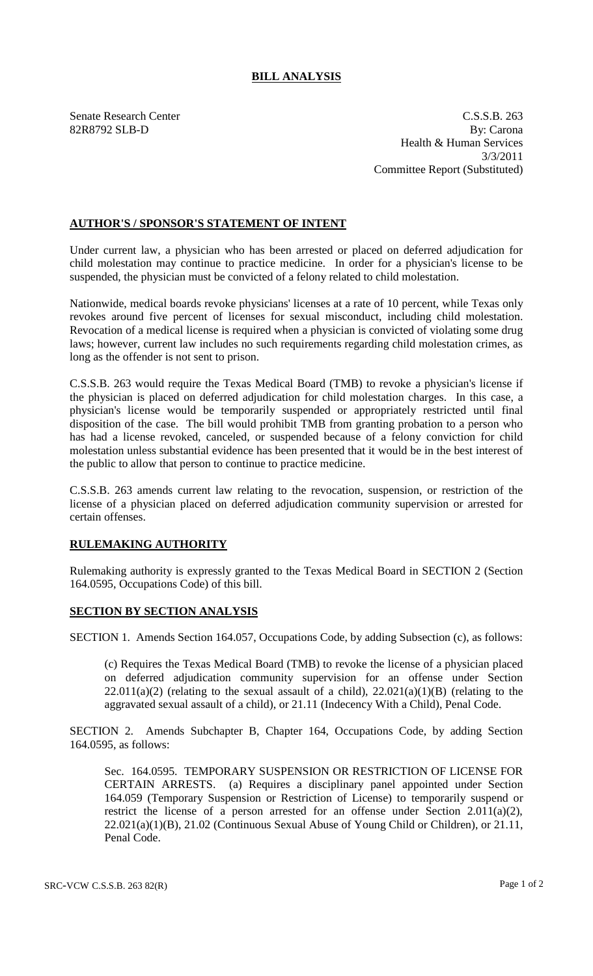## **BILL ANALYSIS**

Senate Research Center C.S.S.B. 263 82R8792 SLB-D By: Carona Health & Human Services 3/3/2011 Committee Report (Substituted)

## **AUTHOR'S / SPONSOR'S STATEMENT OF INTENT**

Under current law, a physician who has been arrested or placed on deferred adjudication for child molestation may continue to practice medicine. In order for a physician's license to be suspended, the physician must be convicted of a felony related to child molestation.

Nationwide, medical boards revoke physicians' licenses at a rate of 10 percent, while Texas only revokes around five percent of licenses for sexual misconduct, including child molestation. Revocation of a medical license is required when a physician is convicted of violating some drug laws; however, current law includes no such requirements regarding child molestation crimes, as long as the offender is not sent to prison.

C.S.S.B. 263 would require the Texas Medical Board (TMB) to revoke a physician's license if the physician is placed on deferred adjudication for child molestation charges. In this case, a physician's license would be temporarily suspended or appropriately restricted until final disposition of the case. The bill would prohibit TMB from granting probation to a person who has had a license revoked, canceled, or suspended because of a felony conviction for child molestation unless substantial evidence has been presented that it would be in the best interest of the public to allow that person to continue to practice medicine.

C.S.S.B. 263 amends current law relating to the revocation, suspension, or restriction of the license of a physician placed on deferred adjudication community supervision or arrested for certain offenses.

## **RULEMAKING AUTHORITY**

Rulemaking authority is expressly granted to the Texas Medical Board in SECTION 2 (Section 164.0595, Occupations Code) of this bill.

## **SECTION BY SECTION ANALYSIS**

SECTION 1. Amends Section 164.057, Occupations Code, by adding Subsection (c), as follows:

(c) Requires the Texas Medical Board (TMB) to revoke the license of a physician placed on deferred adjudication community supervision for an offense under Section  $22.011(a)(2)$  (relating to the sexual assault of a child),  $22.021(a)(1)(B)$  (relating to the aggravated sexual assault of a child), or 21.11 (Indecency With a Child), Penal Code.

SECTION 2. Amends Subchapter B, Chapter 164, Occupations Code, by adding Section 164.0595, as follows:

Sec. 164.0595. TEMPORARY SUSPENSION OR RESTRICTION OF LICENSE FOR CERTAIN ARRESTS. (a) Requires a disciplinary panel appointed under Section 164.059 (Temporary Suspension or Restriction of License) to temporarily suspend or restrict the license of a person arrested for an offense under Section 2.011(a)(2), 22.021(a)(1)(B), 21.02 (Continuous Sexual Abuse of Young Child or Children), or 21.11, Penal Code.